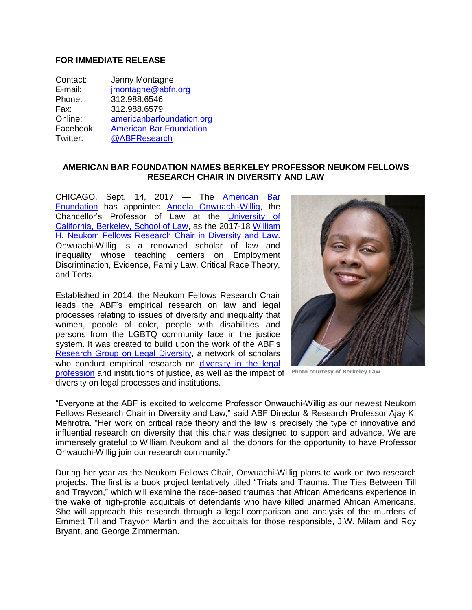## **FOR IMMEDIATE RELEASE**

| Contact:  | Jenny Montagne                 |
|-----------|--------------------------------|
| E-mail:   | jmontagne@abfn.org             |
| Phone:    | 312.988.6546                   |
| Fax:      | 312.988.6579                   |
| Online:   | americanbarfoundation.org      |
| Facebook: | <b>American Bar Foundation</b> |
| Twitter:  | @ABFResearch                   |

## **AMERICAN BAR FOUNDATION NAMES BERKELEY PROFESSOR NEUKOM FELLOWS RESEARCH CHAIR IN DIVERSITY AND LAW**

CHICAGO, Sept. 14, 2017 — The [American Bar](http://www.americanbarfoundation.org/index.html)  [Foundation](http://www.americanbarfoundation.org/index.html) has appointed [Angela Onwuachi-Willig,](https://www.law.berkeley.edu/our-faculty/faculty-profiles/angela-onwuachi-willig/) the Chancellor's Professor of Law at the [University of](https://www.law.berkeley.edu/)  [California, Berkeley, School of Law,](https://www.law.berkeley.edu/) as the 2017-18 [William](http://www.americanbarfoundation.org/support/The_Fellows_Research_Chair_in_Diversity_and_Law.html)  [H. Neukom Fellows Research Chair in Diversity and Law.](http://www.americanbarfoundation.org/support/The_Fellows_Research_Chair_in_Diversity_and_Law.html) Onwuachi-Willig is a renowned scholar of law and inequality whose teaching centers on Employment Discrimination, Evidence, Family Law, Critical Race Theory, and Torts.

Established in 2014, the Neukom Fellows Research Chair leads the ABF's empirical research on law and legal processes relating to issues of diversity and inequality that women, people of color, people with disabilities and persons from the LGBTQ community face in the justice system. It was created to build upon the work of the ABF's [Research Group on Legal Diversity,](http://www.americanbarfoundation.org/research/project/1119) a network of scholars who conduct empirical research on diversity in the legal [profession](http://www.americanbarfoundation.org/publications/816) and institutions of justice, as well as the impact of **Photo courtesy of Berkeley Law** diversity on legal processes and institutions.



"Everyone at the ABF is excited to welcome Professor Onwauchi-Willig as our newest Neukom Fellows Research Chair in Diversity and Law," said ABF Director & Research Professor Ajay K. Mehrotra. "Her work on critical race theory and the law is precisely the type of innovative and influential research on diversity that this chair was designed to support and advance. We are immensely grateful to William Neukom and all the donors for the opportunity to have Professor Onwauchi-Willig join our research community."

During her year as the Neukom Fellows Chair, Onwuachi-Willig plans to work on two research projects. The first is a book project tentatively titled "Trials and Trauma: The Ties Between Till and Trayvon," which will examine the race-based traumas that African Americans experience in the wake of high-profile acquittals of defendants who have killed unarmed African Americans. She will approach this research through a legal comparison and analysis of the murders of Emmett Till and Trayvon Martin and the acquittals for those responsible, J.W. Milam and Roy Bryant, and George Zimmerman.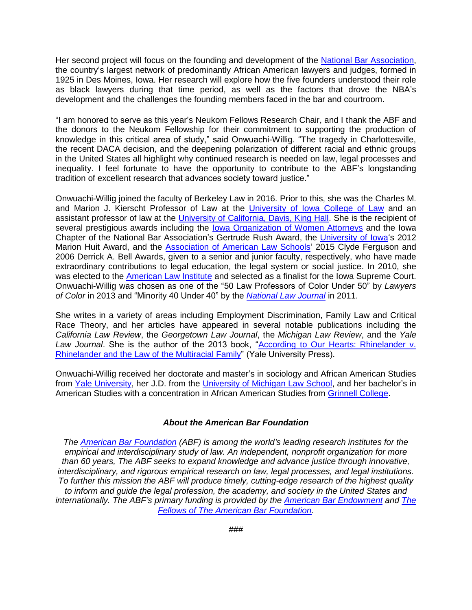Her second project will focus on the founding and development of the [National Bar Association,](https://nationalbar.org/) the country's largest network of predominantly African American lawyers and judges, formed in 1925 in Des Moines, Iowa. Her research will explore how the five founders understood their role as black lawyers during that time period, as well as the factors that drove the NBA's development and the challenges the founding members faced in the bar and courtroom.

"I am honored to serve as this year's Neukom Fellows Research Chair, and I thank the ABF and the donors to the Neukom Fellowship for their commitment to supporting the production of knowledge in this critical area of study," said Onwuachi-Willig. "The tragedy in Charlottesville, the recent DACA decision, and the deepening polarization of different racial and ethnic groups in the United States all highlight why continued research is needed on law, legal processes and inequality. I feel fortunate to have the opportunity to contribute to the ABF's longstanding tradition of excellent research that advances society toward justice."

Onwuachi-Willig joined the faculty of Berkeley Law in 2016. Prior to this, she was the Charles M. and Marion J. Kierscht Professor of Law at the [University of Iowa College of Law](https://law.uiowa.edu/) and an assistant professor of law at the [University of California, Davis, King Hall.](https://law.ucdavis.edu/) She is the recipient of several prestigious awards including the lowa Organization of Women Attorneys and the Iowa Chapter of the National Bar Association's Gertrude Rush Award, the [University of Iowa'](https://uiowa.edu/)s 2012 Marion Huit Award, and the [Association of American Law Schools'](http://www.aals.org/) 2015 Clyde Ferguson and 2006 Derrick A. Bell Awards, given to a senior and junior faculty, respectively, who have made extraordinary contributions to legal education, the legal system or social justice. In 2010, she was elected to the [American Law Institute](https://www.ali.org/) and selected as a finalist for the Iowa Supreme Court. Onwuachi-Willig was chosen as one of the "50 Law Professors of Color Under 50" by *Lawyers of Color* in 2013 and "Minority 40 Under 40" by the *[National Law Journal](http://www.nationallawjournal.com/?slreturn=20170805140004)* in 2011.

She writes in a variety of areas including Employment Discrimination, Family Law and Critical Race Theory, and her articles have appeared in several notable publications including the *California Law Review*, the *Georgetown Law Journal*, the *Michigan Law Review*, and the *Yale*  Law Journal. She is the author of the 2013 book, "According to Our Hearts: Rhinelander v. [Rhinelander and the Law of the Multiracial Family"](http://yalebooks.yale.edu/book/9780300166828/according-our-hearts) (Yale University Press).

Onwuachi-Willig received her doctorate and master's in sociology and African American Studies from [Yale University,](https://www.yale.edu/) her J.D. from the [University of Michigan Law School,](https://www.law.umich.edu/Pages/default.aspx) and her bachelor's in American Studies with a concentration in African American Studies from [Grinnell College.](https://www.grinnell.edu/)

## *About the American Bar Foundation*

*The [American Bar Foundation](http://www.americanbarfoundation.org/) (ABF) is among the world's leading research institutes for the empirical and interdisciplinary study of law. An independent, nonprofit organization for more than 60 years, The ABF seeks to expand knowledge and advance justice through innovative, interdisciplinary, and rigorous empirical research on law, legal processes, and legal institutions. To further this mission the ABF will produce timely, cutting-edge research of the highest quality to inform and guide the legal profession, the academy, and society in the United States and internationally. The ABF's primary funding is provided by the [American Bar Endowment](http://www.abendowment.org/) and [The](http://www.americanbarfoundation.org/fellows/index.html)  [Fellows of The American Bar Foundation.](http://www.americanbarfoundation.org/fellows/index.html)*